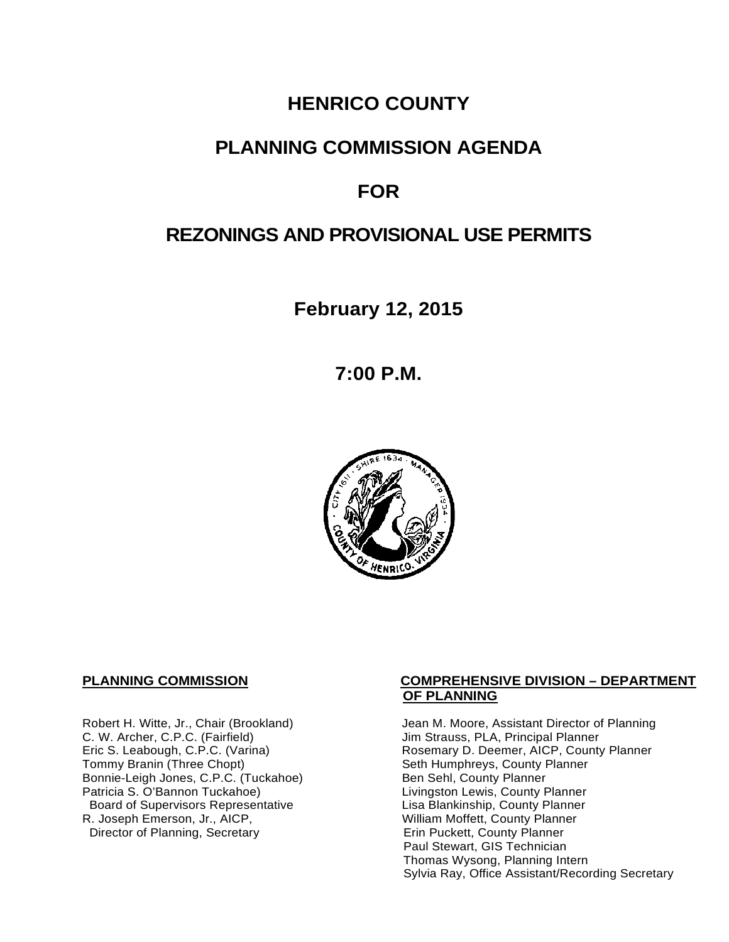# **HENRICO COUNTY**

# **PLANNING COMMISSION AGENDA**

# **FOR**

# **REZONINGS AND PROVISIONAL USE PERMITS**

**February 12, 2015**

**7:00 P.M.**



C. W. Archer, C.P.C. (Fairfield) and Summan Jim Strauss, PLA, Principal Planner<br>
Eric S. Leabough, C.P.C. (Varina) and Summan Rosemary D. Deemer, AICP, County Bonnie-Leigh Jones, C.P.C. (Tuckahoe)<br>Patricia S. O'Bannon Tuckahoe) Board of Supervisors Representative<br>R. Joseph Emerson, Jr., AICP, Director of Planning, Secretary

# **PLANNING COMMISSION COMPREHENSIVE DIVISION – DEPARTMENT OF PLANNING**

Robert H. Witte, Jr., Chair (Brookland) Jean M. Moore, Assistant Director of Planning<br>C. W. Archer, C.P.C. (Fairfield) Jim Strauss, PLA, Principal Planner Eric S. Leabough, C.P.C. (Varina) Rosemary D. Deemer, AICP, County Planner<br>Tommy Branin (Three Chopt) Seth Humphreys, County Planner Seth Humphreys, County Planner<br>Ben Sehl, County Planner Livingston Lewis, County Planner<br>Lisa Blankinship, County Planner William Moffett, County Planner<br>Erin Puckett, County Planner Paul Stewart, GIS Technician Thomas Wysong, Planning Intern Sylvia Ray, Office Assistant/Recording Secretary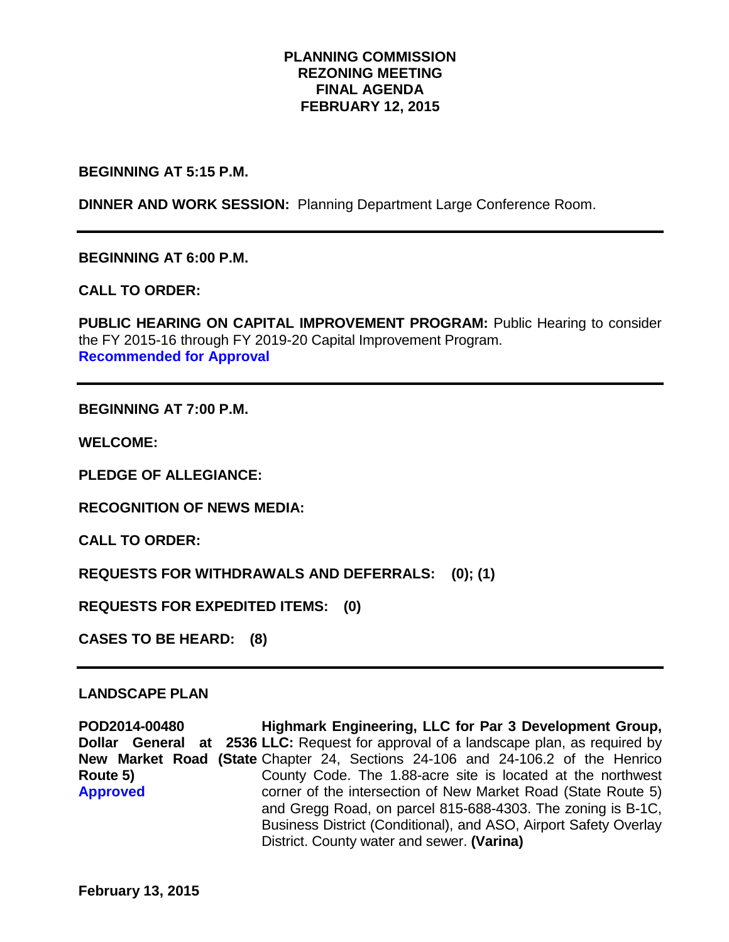# **PLANNING COMMISSION REZONING MEETING FINAL AGENDA FEBRUARY 12, 2015**

**BEGINNING AT 5:15 P.M.** 

**DINNER AND WORK SESSION:** Planning Department Large Conference Room.

**BEGINNING AT 6:00 P.M.**

**CALL TO ORDER:**

PUBLIC HEARING ON CAPITAL IMPROVEMENT PROGRAM: Public Hearing to consider the FY 2015-16 through FY 2019-20 Capital Improvement Program. **Recommended for Approval**

**BEGINNING AT 7:00 P.M.**

**WELCOME:**

**PLEDGE OF ALLEGIANCE:**

**RECOGNITION OF NEWS MEDIA:**

**CALL TO ORDER:**

**REQUESTS FOR WITHDRAWALS AND DEFERRALS: (0); (1)**

**REQUESTS FOR EXPEDITED ITEMS: (0)**

**CASES TO BE HEARD: (8)**

## **LANDSCAPE PLAN**

**POD2014-00480 Dollar General at 2536 LLC:** Request for approval of a landscape plan, as required by **New Market Road (State Chapter 24, Sections 24-106 and 24-106.2 of the Henrico Route 5) Approved Highmark Engineering, LLC for Par 3 Development Group,**  County Code. The 1.88-acre site is located at the northwest corner of the intersection of New Market Road (State Route 5) and Gregg Road, on parcel 815-688-4303. The zoning is B-1C, Business District (Conditional), and ASO, Airport Safety Overlay District. County water and sewer. **(Varina)**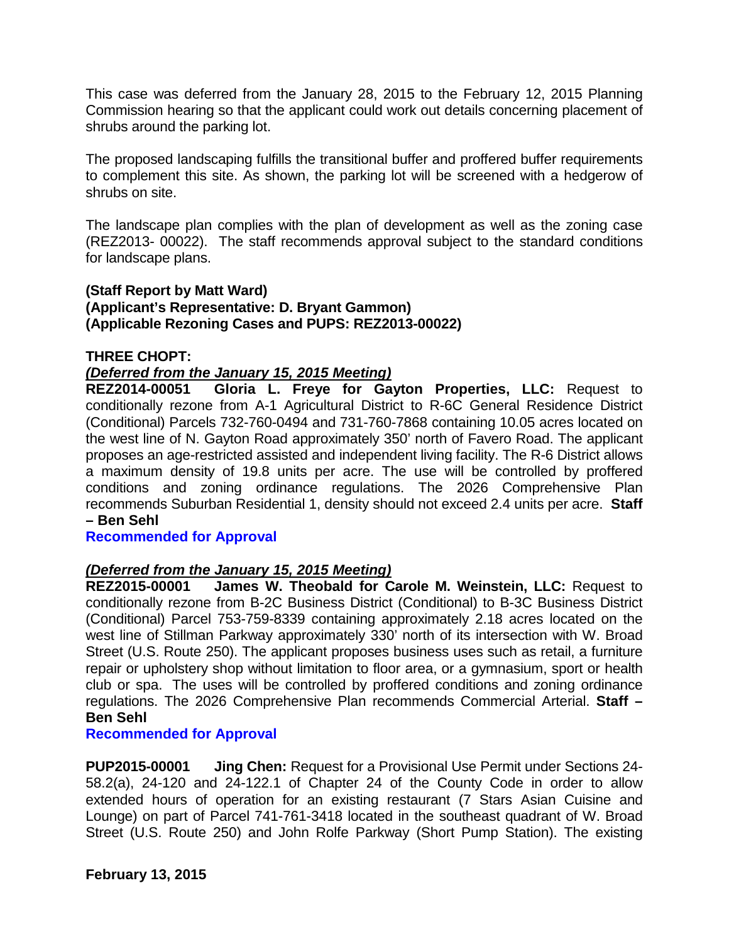This case was deferred from the January 28, 2015 to the February 12, 2015 Planning Commission hearing so that the applicant could work out details concerning placement of shrubs around the parking lot.

The proposed landscaping fulfills the transitional buffer and proffered buffer requirements to complement this site. As shown, the parking lot will be screened with a hedgerow of shrubs on site.

The landscape plan complies with the plan of development as well as the zoning case (REZ2013- 00022). The staff recommends approval subject to the standard conditions for landscape plans.

# **(Staff Report by Matt Ward) (Applicant's Representative: D. Bryant Gammon) (Applicable Rezoning Cases and PUPS: REZ2013-00022)**

# **THREE CHOPT:**

# *(Deferred from the January 15, 2015 Meeting)*

**REZ2014-00051 Gloria L. Freye for Gayton Properties, LLC:** Request to conditionally rezone from A-1 Agricultural District to R-6C General Residence District (Conditional) Parcels 732-760-0494 and 731-760-7868 containing 10.05 acres located on the west line of N. Gayton Road approximately 350' north of Favero Road. The applicant proposes an age-restricted assisted and independent living facility. The R-6 District allows a maximum density of 19.8 units per acre. The use will be controlled by proffered conditions and zoning ordinance regulations. The 2026 Comprehensive Plan recommends Suburban Residential 1, density should not exceed 2.4 units per acre. **Staff – Ben Sehl** 

## **Recommended for Approval**

# *(Deferred from the January 15, 2015 Meeting)*

**REZ2015-00001 James W. Theobald for Carole M. Weinstein, LLC:** Request to conditionally rezone from B-2C Business District (Conditional) to B-3C Business District (Conditional) Parcel 753-759-8339 containing approximately 2.18 acres located on the west line of Stillman Parkway approximately 330' north of its intersection with W. Broad Street (U.S. Route 250). The applicant proposes business uses such as retail, a furniture repair or upholstery shop without limitation to floor area, or a gymnasium, sport or health club or spa. The uses will be controlled by proffered conditions and zoning ordinance regulations. The 2026 Comprehensive Plan recommends Commercial Arterial. **Staff – Ben Sehl**

## **Recommended for Approval**

**PUP2015-00001 Jing Chen:** Request for a Provisional Use Permit under Sections 24- 58.2(a), 24-120 and 24-122.1 of Chapter 24 of the County Code in order to allow extended hours of operation for an existing restaurant (7 Stars Asian Cuisine and Lounge) on part of Parcel 741-761-3418 located in the southeast quadrant of W. Broad Street (U.S. Route 250) and John Rolfe Parkway (Short Pump Station). The existing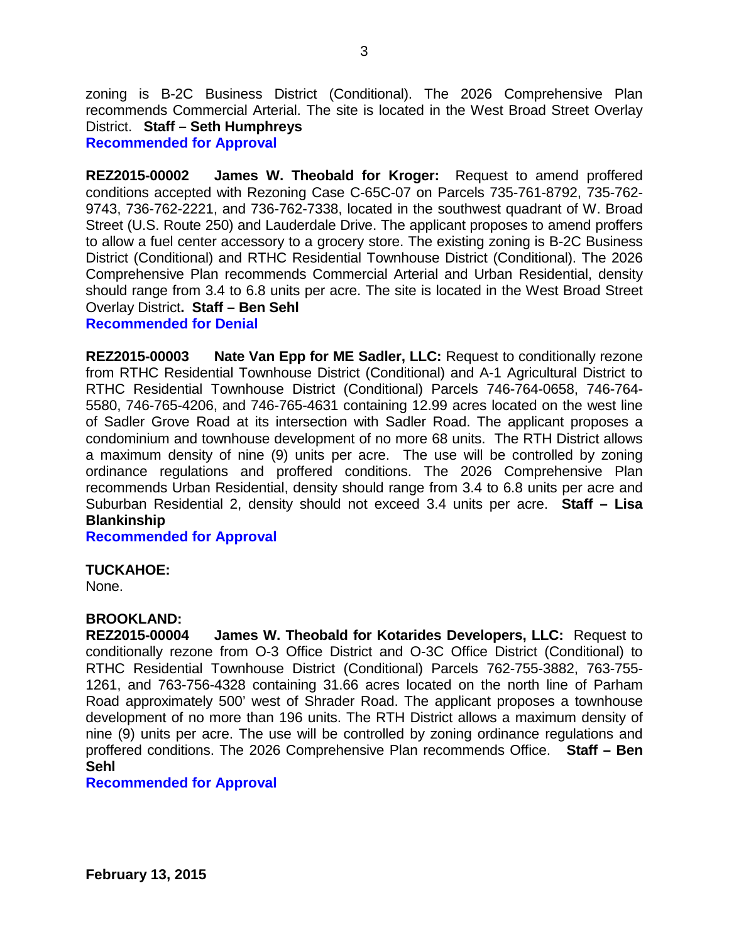zoning is B-2C Business District (Conditional). The 2026 Comprehensive Plan recommends Commercial Arterial. The site is located in the West Broad Street Overlay District. **Staff – Seth Humphreys**

**Recommended for Approval**

**REZ2015-00002 James W. Theobald for Kroger:** Request to amend proffered conditions accepted with Rezoning Case C-65C-07 on Parcels 735-761-8792, 735-762- 9743, 736-762-2221, and 736-762-7338, located in the southwest quadrant of W. Broad Street (U.S. Route 250) and Lauderdale Drive. The applicant proposes to amend proffers to allow a fuel center accessory to a grocery store. The existing zoning is B-2C Business District (Conditional) and RTHC Residential Townhouse District (Conditional). The 2026 Comprehensive Plan recommends Commercial Arterial and Urban Residential, density should range from 3.4 to 6.8 units per acre. The site is located in the West Broad Street Overlay District**. Staff – Ben Sehl**

**Recommended for Denial**

**REZ2015-00003 Nate Van Epp for ME Sadler, LLC:** Request to conditionally rezone from RTHC Residential Townhouse District (Conditional) and A-1 Agricultural District to RTHC Residential Townhouse District (Conditional) Parcels 746-764-0658, 746-764- 5580, 746-765-4206, and 746-765-4631 containing 12.99 acres located on the west line of Sadler Grove Road at its intersection with Sadler Road. The applicant proposes a condominium and townhouse development of no more 68 units. The RTH District allows a maximum density of nine (9) units per acre. The use will be controlled by zoning ordinance regulations and proffered conditions. The 2026 Comprehensive Plan recommends Urban Residential, density should range from 3.4 to 6.8 units per acre and Suburban Residential 2, density should not exceed 3.4 units per acre. **Staff – Lisa Blankinship**

**Recommended for Approval**

## **TUCKAHOE:**

None.

## **BROOKLAND:**

**REZ2015-00004 James W. Theobald for Kotarides Developers, LLC:** Request to conditionally rezone from O-3 Office District and O-3C Office District (Conditional) to RTHC Residential Townhouse District (Conditional) Parcels 762-755-3882, 763-755- 1261, and 763-756-4328 containing 31.66 acres located on the north line of Parham Road approximately 500' west of Shrader Road. The applicant proposes a townhouse development of no more than 196 units. The RTH District allows a maximum density of nine (9) units per acre. The use will be controlled by zoning ordinance regulations and proffered conditions. The 2026 Comprehensive Plan recommends Office. **Staff – Ben Sehl**

## **Recommended for Approval**